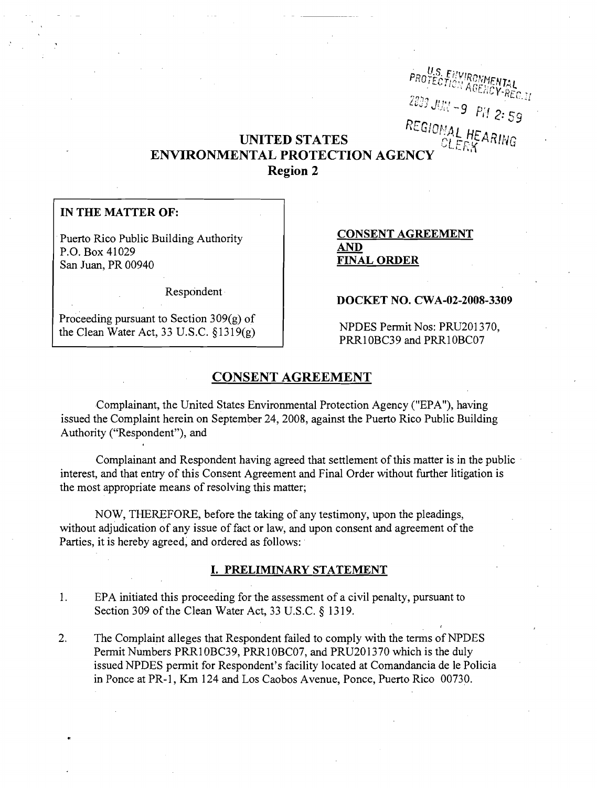# . U.S. ENVIRONMENTAL<br>PROTECTION AGENCY-REC.<sub>LI</sub> ,.."'''' "",II', - 9 *PH* 2: S9 UNITED STATES<br>*CIERNAL HEARING*

# ENVIRONMENTAL PROTECTION AGENC Region 2

# IN THE MATTER OF:

.Puerto Rico Public Building Authority P.O. Box 41029 San Juan, PR 00940

AND FINAL ORDER

CONSENT AGREEMENT

Respondent·

Proceeding pursuant to Section 309(g) of the Clean Water Act, 33 U.S.C. §1319(g)

# DOCKET NO. CWA-02-2008-3309

NPDES Pennit Nos: PRU201370, PRR10BC39 and PRR10BC07

# CONSENT AGREEMENT

Complainant, the United States Environmental Protection Agency ("EPA"), having issued the Complaint herein on September 24, 2008, against the Puerto Rico Public Building Authority ("Respondent"), and

Complainant and Respondent having agreed that settlement of this matter is in the public . interest, and that entry of this Consent Agreement and Final Order without further litigation is the most appropriate means of resolving this matter;

NOW, THEREFORE, before the taking of any testimony, upon the pleadings, without adjudication of any issue of fact or law, and upon consent and agreement of the Parties, it is hereby agreed, and ordered as follows:

# I. PRELIMINARY STATEMENT

- 1. EPA initiated this proceeding for the assessment of a civil penalty, pursuant to Section 309 of the Clean Water Act, 33 U.S.C. § 1319.
- 2. The Complaint alleges that Respondent failed to comply with the terms of NPDES Permit Numbers PRR10BC39, PRR10BC07, and PRU201370 which is the duly issued NPDES permit for Respondent's facility located at Comandancia de Ie Policia in Ponce at PR-1, Km 124 and Los Caobos Avenue, Ponce, Puerto Rico 00730.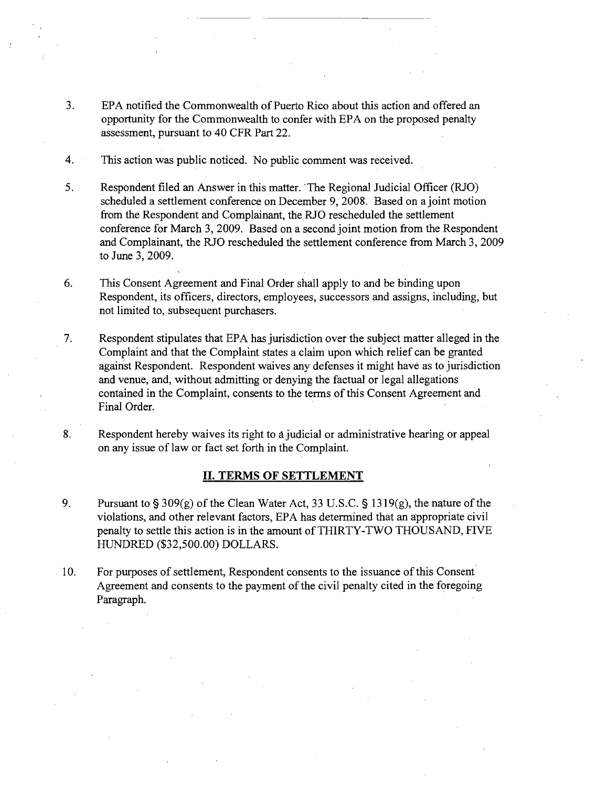- 3. EPA notified the Commonwealth of Puerto Rico about this action and offered an opportunity for the Commonwealth to confer with EPA on the proposed penalty assessment, pursuant to 40 CFR Part 22.
- 4. This action was public noticed. No public comment was received.
- 5. Respondent filed an Answer in this matter. 'The Regional Judicial Officer (RJO) scheduled a settlement conference on December 9, 2008. Based on a joint motion from the Respondent and Complainant, the RJO rescheduled the settlement conference for March 3, 2009. Based on a second joint motion from the Respondent and Complainant, the RIO rescheduled the settlement conference from March 3,2009 to June 3, 2009.
- 6. This Consent Agreement and Final Order shall apply to and be binding upon Respondent, its officers, directors, employees, successors and assigns, including, but not limited to, subsequent purchasers.
- 7. Respondent stipulates that EPA has jurisdiction over the subject matter alleged in the Complaint and that the Complaint states a claim upon which relief can be granted against Respondent. Respondent waives any defenses it might have as to jurisdiction and venue, and, without admitting or denying the factual or legal allegations contained in the Complaint, consents to the tenns of this Consent Agreement and Final Order.
- 8. Respondent hereby waives its right to a judicial or administrative hearing or appeal on any issue of law or fact set forth in the Complaint.

#### **II. TERMS OF SETTLEMENT**

- 9. Pursuant to  $\S 309(g)$  of the Clean Water Act, 33 U.S.C.  $\S 1319(g)$ , the nature of the violations, and other relevant factors, EPA has detennined that an appropriate civil penalty to settle this action is in the amount of THIRTY-TWO THOUSAND, FIVE HUNDRED (\$32,500.00) DOLLARS.
- 10. For purposes of settlement, Respondent consents to the issuance ofthis Consent Agreement and consents to the payment of the civil penalty cited in the foregoing Paragraph.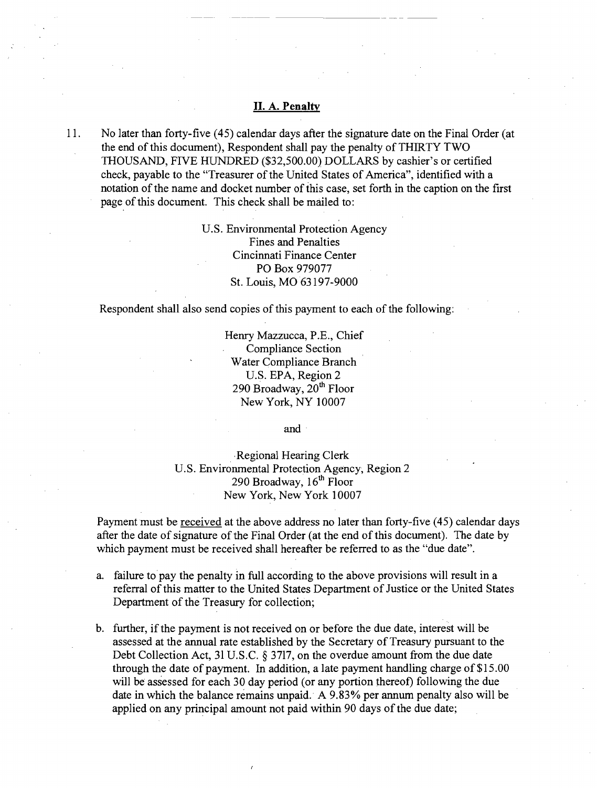# **II. A. Penalty**

-.---- ---\_. -- .---

11. No later than forty-five (45) calendar days after the signature date on the Final Order (at the end of this document), Respondent shall pay the penalty of THIRTY TWO THOUSAND, FIVE HUNDRED (\$32,500.00) DOLLARS by cashier's or certified check, payable to the "Treasurer of the United States of America", identified with a notation of the name and docket number of this case, set forth in the caption on the first page of this document. This check shall be mailed to:

> U.S. Environmental Protection Agency Fines and Penalties Cincinnati Finance Center PO Box 979077 St. Louis, MO 63197-9000

Respondent shall also send copies of this payment to each of the following:

Henry Mazzucca, P.E., Chief Compliance Section Water Compliance Branch U.S. EPA, Region 2 290 Broadway, 20<sup>th</sup> Floor New York, NY 10007

and,

Regional Hearing Clerk U.S. Environmental Protection Agency, Region 2 290 Broadway,  $16<sup>th</sup>$  Floor New York, New York 10007

Payment must be received at the above address no later than forty-five (45) calendar days after the date of signature of the Final Order (at the end of this document). The date by which payment must be received shall hereafter be referred to as the "due date".

- a. failure to pay the penalty in full according to the above provisions will result in a referral of this matter to the United States Department of Justice or the United States Department of the Treasury for collection;
- b. further, if the payment is not received on or before the due date, interest will be assessed at the annual rate established by the Secretary of Treasury pursuant to the Debt Collection Act, 31 U.S.C. § 3717, on the overdue amount from the due date through the date of payment. In addition, a late payment handling charge of \$15.00 will be assessed for each 30 day period (or any portion thereof) following the due date in which the balance remains unpaid. A 9.83% per annum penalty also will be applied on any principal amount not paid within 90 days of the due date;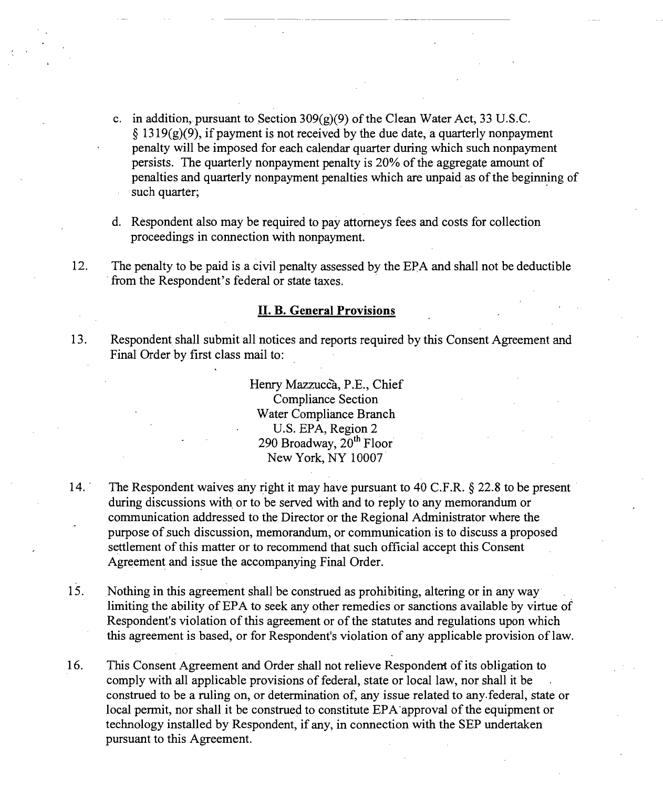c. in addition, pursuant to Section  $309(g)(9)$  of the Clean Water Act, 33 U.S.C.  $\S 1319(g)(9)$ , if payment is not received by the due date, a quarterly nonpayment penalty will be imposed for each calendar quarter during which such nonpayment persists. The quarterly nonpayment penalty is 20% of the aggregate amount of penalties and quarterly nonpayment penalties which are unpaid as ofthe beginning of such quarter;

d. Respondent also may be required to pay attorneys fees and costs for collection proceedings in connection with nonpayment.

12. The penalty to be paid is a civil penalty assessed by the EPA and shall not be deductible from the Respondent's federal or state taxes.

#### II. B. General Provisions

13. Respondent shall submit all notices and reports required by this Consent Agreement and Final Order by first class mail to:

> Henry Mazzucca, P.E., Chief Compliance Section Water Compliance Branch U.S. EPA, Region 2 290 Broadway,  $20<sup>th</sup>$  Floor New York, NY 10007

- 14. The Respondent waives any right it may have pursuant to 40 C.F.R.  $\S$  22.8 to be present during discussions with or to be served with and to reply to any memorandum or communication addressed to the Director or the Regional Administrator where the purpose of.such discussion, memorandum, or communication is to discuss a proposed settlement of this matter or to recommend that such official accept this Consent Agreement and issue the accompanying Final Order.
- 15. Nothing in this agreement shall be construed as prohibiting, altering or in any way limiting the ability of EPA to seek any other remedies or sanctions available by virtue of Respondent's violation of this agreement or of the statutes and regulations upon which this agreement is based, or for Respondent's violation of any applicable provision oflaw.
- 16. This Consent Agreement and Order shall not relieve Respondent of its obligation to comply with all applicable provisions of federal, state or local law, nor shall it be construed to be a ruling on, or determination of, any issue related to any. federal, state or local permit, nor shall it be construed to constitute EPA'approval of the equipment or technology installed by Respondent, if any, in connection with the SEP undertaken pursuant to this Agreement.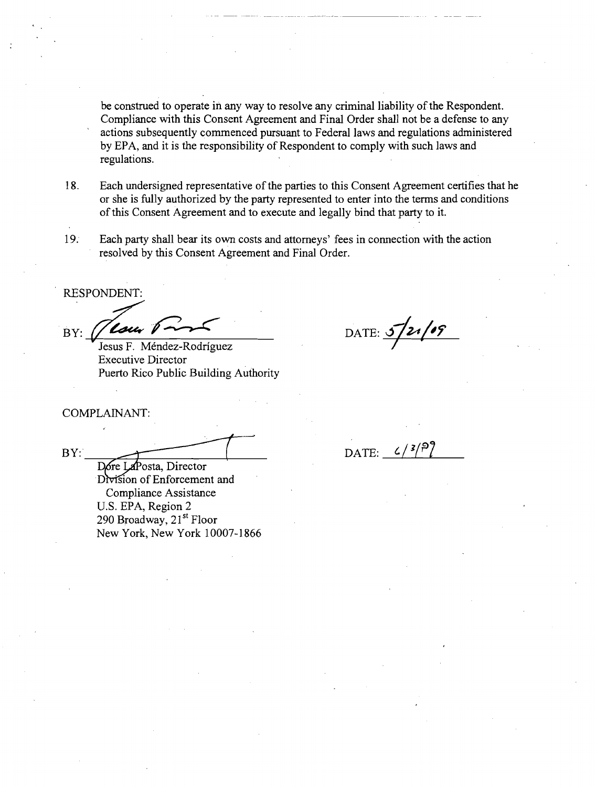be construed to operate in any way to resolve any criminal liability of the Respondent. Compliance with this Consent Agreement and Final Order shall not be a defense to any actions subsequently commenced pursuant to Federal laws and regulations administered by EPA, and it is the responsibility of Respondent to comply with such laws and regulations.

18. Each undersigned representative of the parties to this Consent Agreement certifies that he or she is fully authorized by the party represented to enter into the terms and conditions ofthis Consent Agreement and to execute and legally bind that party to it.

19. Each party shall bear its own costs and attorneys' fees in connection with the action resolved by this Consent Agreement and Final Order.

RESPONDENT:  $BY:$   $\frac{\sqrt{\text{Law 1} - 5}}{\text{Jesus F. Méndez-Rodriquez}}$  DATE:  $\frac{5}{21/105}$ 

Executive Director Puerto Rico Public Building Authority

# COMPLAINANT:

 $BY: \_\_\_\_$  DATE:  $\frac{c}{3}$ 

Dore LaPosta, Director Division of Enforcement and Compliance Assistance U.S. EPA, Region 2 290 Broadway, 21<sup>st</sup> Floor New York, New York 10007-1866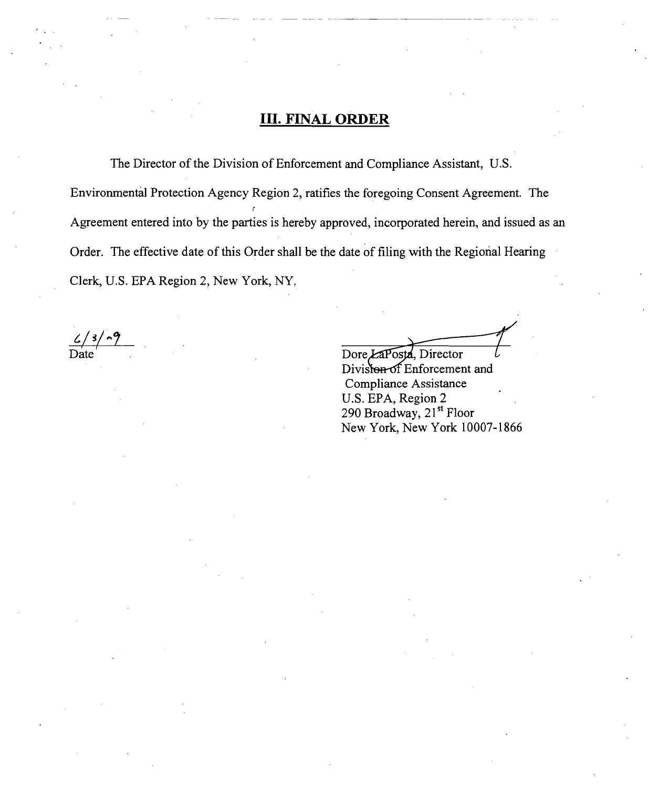# **III. FINAL ORDER**

The Director of the Division of Enforcement and Compliance Assistant, U.S. Environmental Protection Agency Region 2, ratifies the foregoing Consent Agreement. The Agreement entered into by the parties is hereby approved, incorporated herein, and issued as an Order. The effective date of this Order shall be the date of filing with the Regional Hearing Clerk, U.S. EPA Region 2, New York, NY,

 $\frac{\mathcal{L}}{\text{Date}}$ 

Dore LaPosta, Director

Diviston of Enforcement and Compliance Assistance U.S. EPA, Region 2 290 Broadway, 21<sup>st</sup> Floor New York, New York 10007-1866